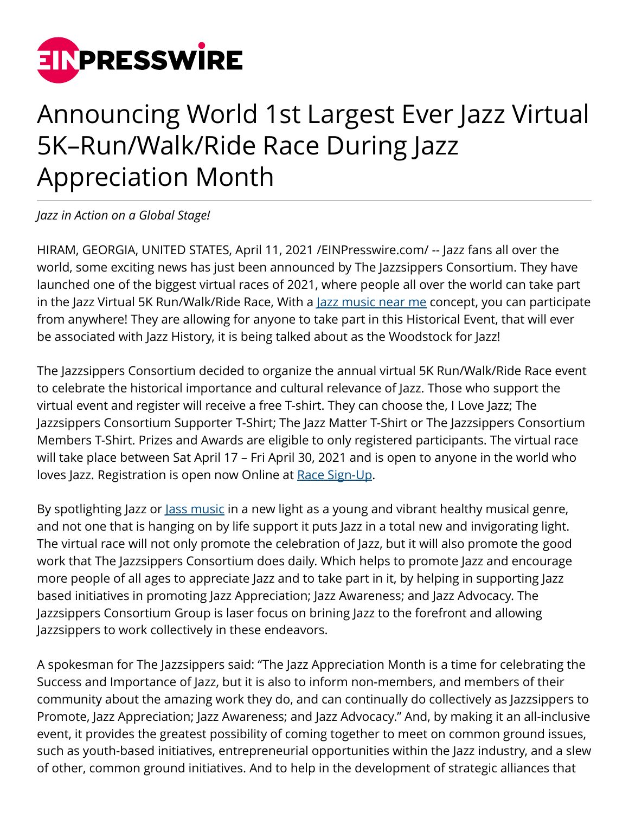

## Announcing World 1st Largest Ever Jazz Virtual 5K–Run/Walk/Ride Race During Jazz Appreciation Month

*Jazz in Action on a Global Stage!*

HIRAM, GEORGIA, UNITED STATES, April 11, 2021 /[EINPresswire.com](http://www.einpresswire.com)/ -- Jazz fans all over the world, some exciting news has just been announced by The Jazzsippers Consortium. They have launched one of the biggest virtual races of 2021, where people all over the world can take part in the Jazz Virtual 5K Run/Walk/Ride Race, With a <u>Jazz music near me</u> concept, you can participate from anywhere! They are allowing for anyone to take part in this Historical Event, that will ever be associated with Jazz History, it is being talked about as the Woodstock for Jazz!

The Jazzsippers Consortium decided to organize the annual virtual 5K Run/Walk/Ride Race event to celebrate the historical importance and cultural relevance of Jazz. Those who support the virtual event and register will receive a free T-shirt. They can choose the, I Love Jazz; The Jazzsippers Consortium Supporter T-Shirt; The Jazz Matter T-Shirt or The Jazzsippers Consortium Members T-Shirt. Prizes and Awards are eligible to only registered participants. The virtual race will take place between Sat April 17 – Fri April 30, 2021 and is open to anyone in the world who loves Jazz. Registration is open now Online at [Race Sign-Up](https://runsignup.com/Race/GA/Hiram/TheJazzsippersConsortiumVirtual5KRunWalkRideRaceforJazzRace).

By spotlighting Jazz or <u>Jass music</u> in a new light as a young and vibrant healthy musical genre, and not one that is hanging on by life support it puts Jazz in a total new and invigorating light. The virtual race will not only promote the celebration of Jazz, but it will also promote the good work that The Jazzsippers Consortium does daily. Which helps to promote Jazz and encourage more people of all ages to appreciate Jazz and to take part in it, by helping in supporting Jazz based initiatives in promoting Jazz Appreciation; Jazz Awareness; and Jazz Advocacy. The Jazzsippers Consortium Group is laser focus on brining Jazz to the forefront and allowing Jazzsippers to work collectively in these endeavors.

A spokesman for The Jazzsippers said: "The Jazz Appreciation Month is a time for celebrating the Success and Importance of Jazz, but it is also to inform non-members, and members of their community about the amazing work they do, and can continually do collectively as Jazzsippers to Promote, Jazz Appreciation; Jazz Awareness; and Jazz Advocacy." And, by making it an all-inclusive event, it provides the greatest possibility of coming together to meet on common ground issues, such as youth-based initiatives, entrepreneurial opportunities within the Jazz industry, and a slew of other, common ground initiatives. And to help in the development of strategic alliances that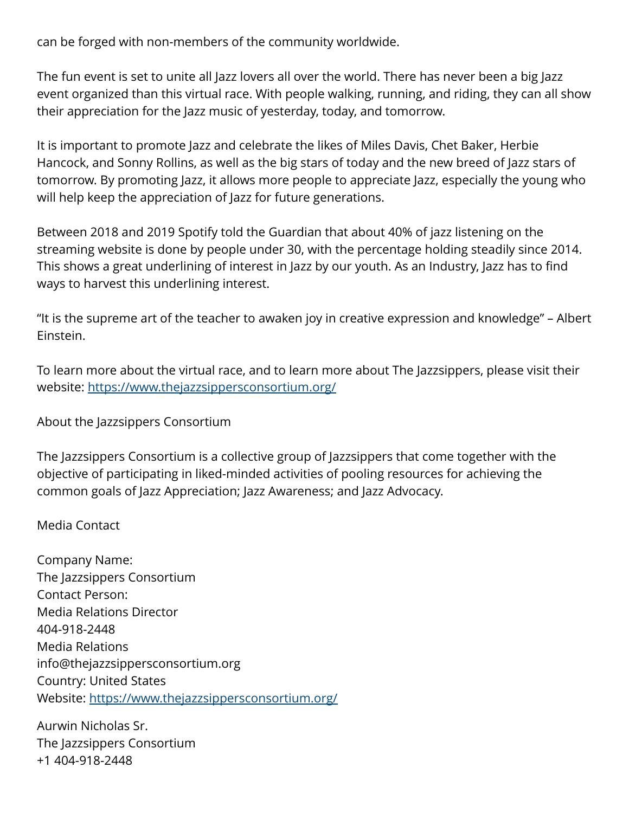can be forged with non-members of the community worldwide.

The fun event is set to unite all Jazz lovers all over the world. There has never been a big Jazz event organized than this virtual race. With people walking, running, and riding, they can all show their appreciation for the Jazz music of yesterday, today, and tomorrow.

It is important to promote Jazz and celebrate the likes of Miles Davis, Chet Baker, Herbie Hancock, and Sonny Rollins, as well as the big stars of today and the new breed of Jazz stars of tomorrow. By promoting Jazz, it allows more people to appreciate Jazz, especially the young who will help keep the appreciation of Jazz for future generations.

Between 2018 and 2019 Spotify told the Guardian that about 40% of jazz listening on the streaming website is done by people under 30, with the percentage holding steadily since 2014. This shows a great underlining of interest in Jazz by our youth. As an Industry, Jazz has to find ways to harvest this underlining interest.

"It is the supreme art of the teacher to awaken joy in creative expression and knowledge" – Albert Einstein.

To learn more about the virtual race, and to learn more about The Jazzsippers, please visit their website:<https://www.thejazzsippersconsortium.org/>

About the Jazzsippers Consortium

The Jazzsippers Consortium is a collective group of Jazzsippers that come together with the objective of participating in liked-minded activities of pooling resources for achieving the common goals of Jazz Appreciation; Jazz Awareness; and Jazz Advocacy.

Media Contact

Company Name: The Jazzsippers Consortium Contact Person: Media Relations Director 404-918-2448 Media Relations info@thejazzsippersconsortium.org Country: United States Website: <https://www.thejazzsippersconsortium.org/>

Aurwin Nicholas Sr. The Jazzsippers Consortium +1 404-918-2448